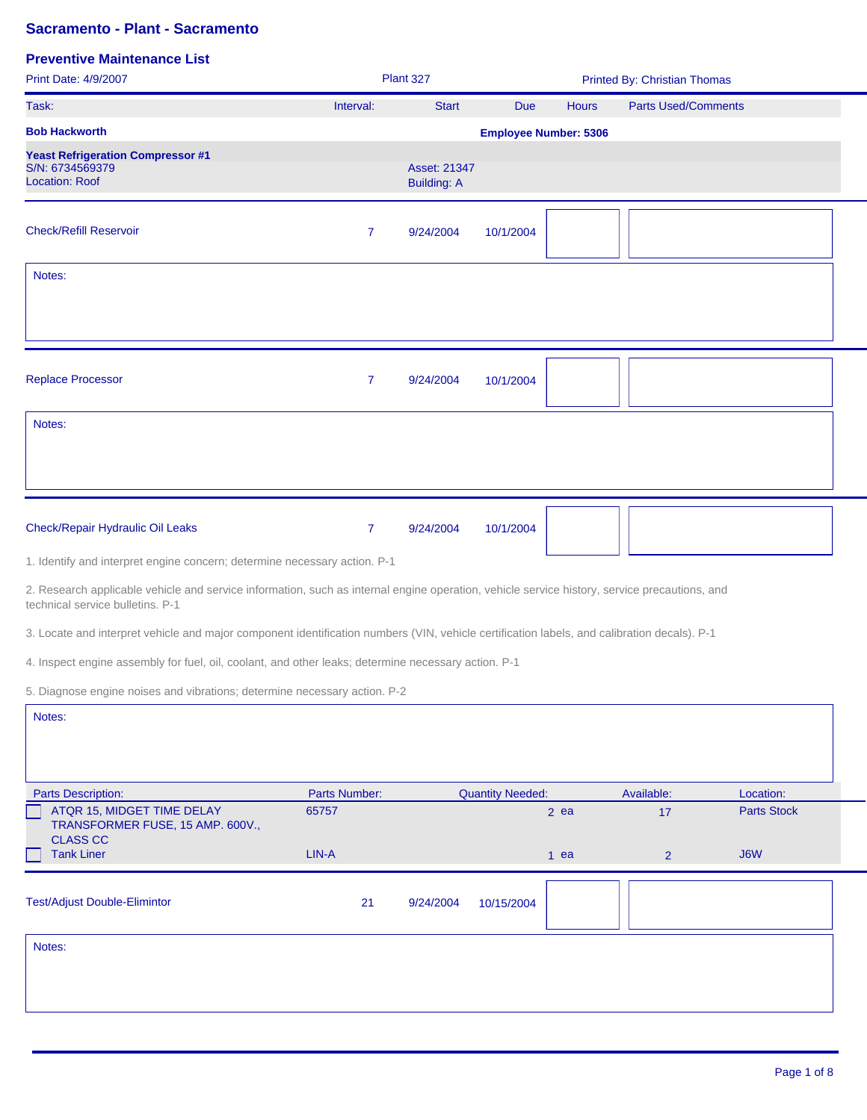| Print Date: 4/9/2007                                                                                                                                                             |                | Plant 327                          |                              |              | <b>Printed By: Christian Thomas</b> |                    |  |
|----------------------------------------------------------------------------------------------------------------------------------------------------------------------------------|----------------|------------------------------------|------------------------------|--------------|-------------------------------------|--------------------|--|
| Task:                                                                                                                                                                            | Interval:      | <b>Start</b>                       | <b>Due</b>                   | <b>Hours</b> | <b>Parts Used/Comments</b>          |                    |  |
| <b>Bob Hackworth</b>                                                                                                                                                             |                |                                    | <b>Employee Number: 5306</b> |              |                                     |                    |  |
| <b>Yeast Refrigeration Compressor #1</b><br>S/N: 6734569379<br><b>Location: Roof</b>                                                                                             |                | Asset: 21347<br><b>Building: A</b> |                              |              |                                     |                    |  |
| <b>Check/Refill Reservoir</b>                                                                                                                                                    | 7              | 9/24/2004                          | 10/1/2004                    |              |                                     |                    |  |
| Notes:                                                                                                                                                                           |                |                                    |                              |              |                                     |                    |  |
| <b>Replace Processor</b>                                                                                                                                                         | $\overline{7}$ | 9/24/2004                          | 10/1/2004                    |              |                                     |                    |  |
| Notes:                                                                                                                                                                           |                |                                    |                              |              |                                     |                    |  |
|                                                                                                                                                                                  |                |                                    |                              |              |                                     |                    |  |
| Check/Repair Hydraulic Oil Leaks                                                                                                                                                 | $\overline{7}$ | 9/24/2004                          | 10/1/2004                    |              |                                     |                    |  |
| 1. Identify and interpret engine concern; determine necessary action. P-1                                                                                                        |                |                                    |                              |              |                                     |                    |  |
| 2. Research applicable vehicle and service information, such as internal engine operation, vehicle service history, service precautions, and<br>technical service bulletins. P-1 |                |                                    |                              |              |                                     |                    |  |
| 3. Locate and interpret vehicle and major component identification numbers (VIN, vehicle certification labels, and calibration decals). P-1                                      |                |                                    |                              |              |                                     |                    |  |
| 4. Inspect engine assembly for fuel, oil, coolant, and other leaks; determine necessary action. P-1                                                                              |                |                                    |                              |              |                                     |                    |  |
| 5. Diagnose engine noises and vibrations; determine necessary action. P-2                                                                                                        |                |                                    |                              |              |                                     |                    |  |
| Notes:                                                                                                                                                                           |                |                                    |                              |              |                                     |                    |  |
| <b>Parts Description:</b>                                                                                                                                                        | Parts Number:  |                                    | <b>Quantity Needed:</b>      |              | Available:                          | Location:          |  |
| ATQR 15, MIDGET TIME DELAY<br>TRANSFORMER FUSE, 15 AMP. 600V.,<br><b>CLASS CC</b>                                                                                                | 65757          |                                    |                              | $2$ ea       | 17                                  | <b>Parts Stock</b> |  |
| <b>Tank Liner</b>                                                                                                                                                                | LIN-A          |                                    |                              | $1$ ea       | $\overline{2}$                      | J6W                |  |
| <b>Test/Adjust Double-Elimintor</b>                                                                                                                                              | 21             | 9/24/2004                          | 10/15/2004                   |              |                                     |                    |  |
| Notes:                                                                                                                                                                           |                |                                    |                              |              |                                     |                    |  |
|                                                                                                                                                                                  |                |                                    |                              |              |                                     |                    |  |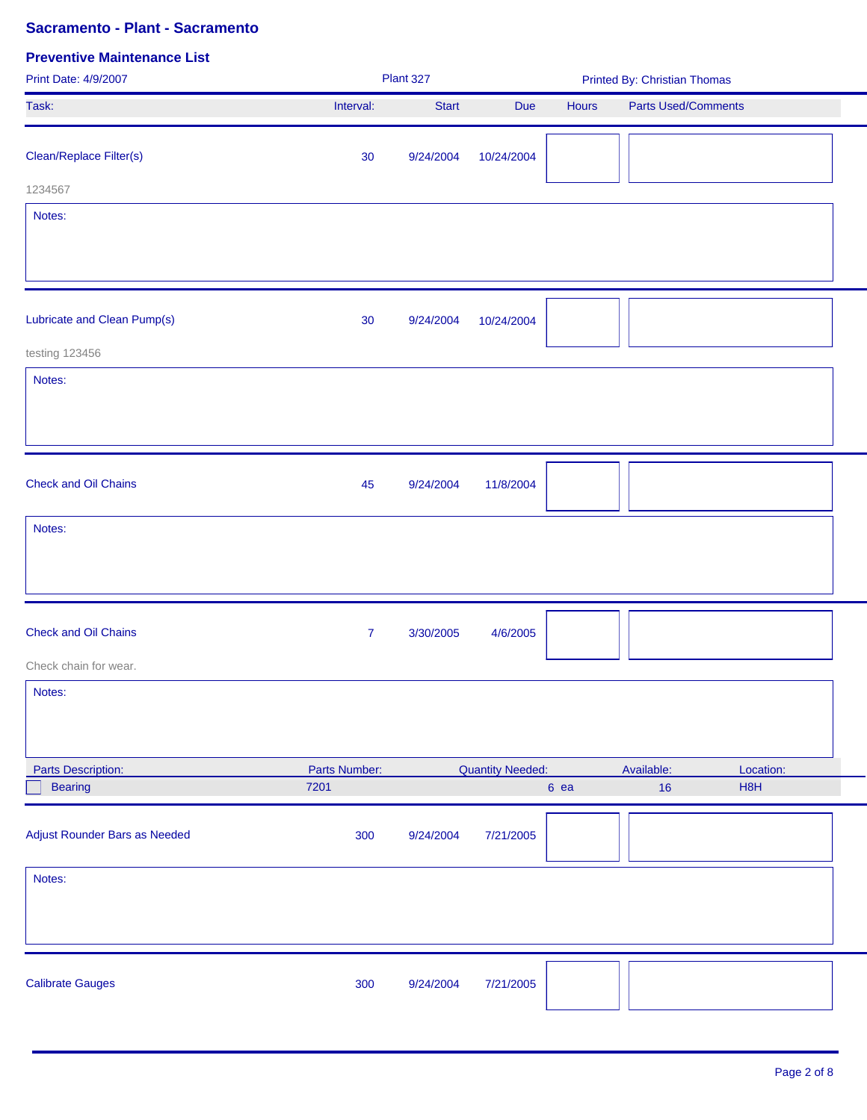| Print Date: 4/9/2007          |                | Plant 327    |                         | <b>Printed By: Christian Thomas</b> |                            |  |  |
|-------------------------------|----------------|--------------|-------------------------|-------------------------------------|----------------------------|--|--|
| Task:                         | Interval:      | <b>Start</b> | Due                     | Hours                               | <b>Parts Used/Comments</b> |  |  |
| Clean/Replace Filter(s)       | 30             | 9/24/2004    | 10/24/2004              |                                     |                            |  |  |
| 1234567                       |                |              |                         |                                     |                            |  |  |
| Notes:                        |                |              |                         |                                     |                            |  |  |
| Lubricate and Clean Pump(s)   | 30             | 9/24/2004    | 10/24/2004              |                                     |                            |  |  |
| testing 123456                |                |              |                         |                                     |                            |  |  |
| Notes:                        |                |              |                         |                                     |                            |  |  |
| <b>Check and Oil Chains</b>   | 45             | 9/24/2004    | 11/8/2004               |                                     |                            |  |  |
| Notes:                        |                |              |                         |                                     |                            |  |  |
| <b>Check and Oil Chains</b>   | $\overline{7}$ | 3/30/2005    | 4/6/2005                |                                     |                            |  |  |
| Check chain for wear.         |                |              |                         |                                     |                            |  |  |
| Notes:                        |                |              |                         |                                     |                            |  |  |
| Parts Description:            | Parts Number:  |              | <b>Quantity Needed:</b> |                                     | Available:<br>Location:    |  |  |
| <b>Bearing</b>                | 7201           |              |                         | 6 ea                                | H8H<br>16                  |  |  |
| Adjust Rounder Bars as Needed | 300            | 9/24/2004    | 7/21/2005               |                                     |                            |  |  |
| Notes:                        |                |              |                         |                                     |                            |  |  |
| <b>Calibrate Gauges</b>       | 300            | 9/24/2004    | 7/21/2005               |                                     |                            |  |  |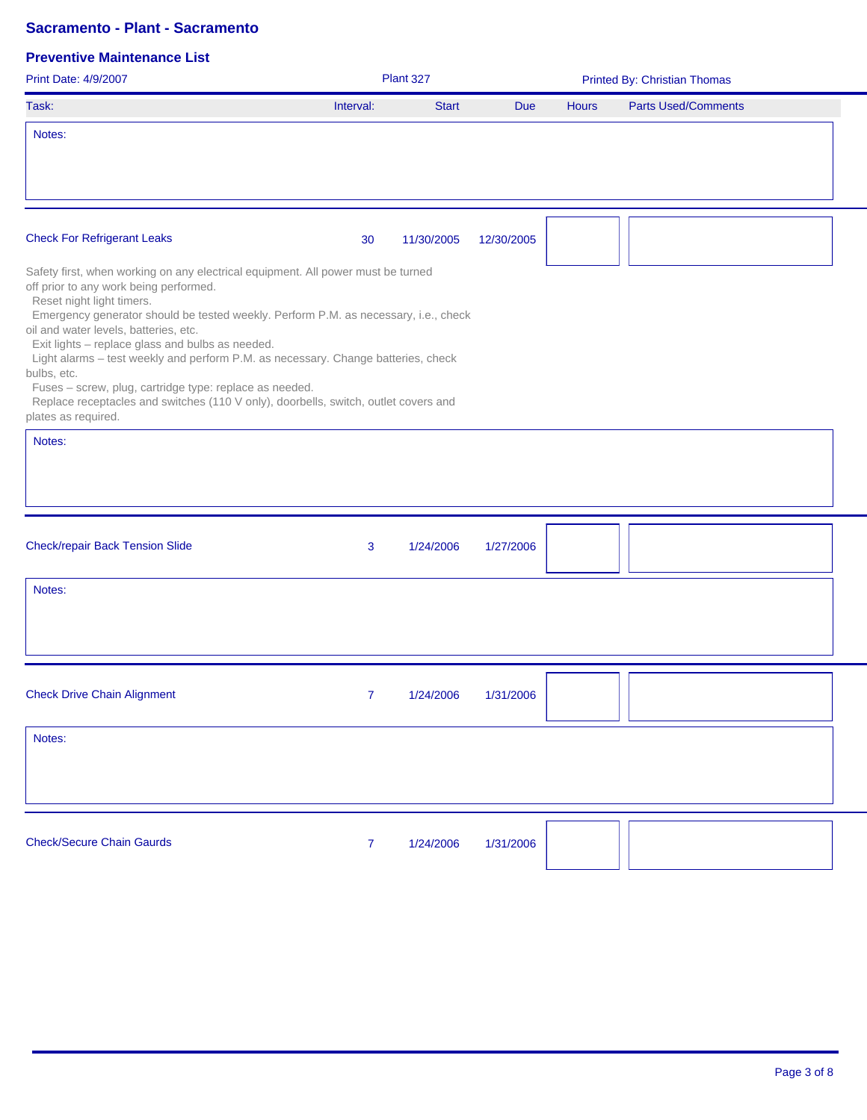| Print Date: 4/9/2007                                                                                                                                                                                                                                                                                                                                                                                                                                                                                                                                                                                                               |                | Plant 327    |            | Printed By: Christian Thomas |                            |  |  |
|------------------------------------------------------------------------------------------------------------------------------------------------------------------------------------------------------------------------------------------------------------------------------------------------------------------------------------------------------------------------------------------------------------------------------------------------------------------------------------------------------------------------------------------------------------------------------------------------------------------------------------|----------------|--------------|------------|------------------------------|----------------------------|--|--|
| Task:                                                                                                                                                                                                                                                                                                                                                                                                                                                                                                                                                                                                                              | Interval:      | <b>Start</b> | <b>Due</b> | <b>Hours</b>                 | <b>Parts Used/Comments</b> |  |  |
| Notes:                                                                                                                                                                                                                                                                                                                                                                                                                                                                                                                                                                                                                             |                |              |            |                              |                            |  |  |
| <b>Check For Refrigerant Leaks</b>                                                                                                                                                                                                                                                                                                                                                                                                                                                                                                                                                                                                 | 30             | 11/30/2005   | 12/30/2005 |                              |                            |  |  |
| Safety first, when working on any electrical equipment. All power must be turned<br>off prior to any work being performed.<br>Reset night light timers.<br>Emergency generator should be tested weekly. Perform P.M. as necessary, i.e., check<br>oil and water levels, batteries, etc.<br>Exit lights - replace glass and bulbs as needed.<br>Light alarms - test weekly and perform P.M. as necessary. Change batteries, check<br>bulbs, etc.<br>Fuses - screw, plug, cartridge type: replace as needed.<br>Replace receptacles and switches (110 V only), doorbells, switch, outlet covers and<br>plates as required.<br>Notes: |                |              |            |                              |                            |  |  |
| <b>Check/repair Back Tension Slide</b>                                                                                                                                                                                                                                                                                                                                                                                                                                                                                                                                                                                             | 3              | 1/24/2006    | 1/27/2006  |                              |                            |  |  |
| Notes:                                                                                                                                                                                                                                                                                                                                                                                                                                                                                                                                                                                                                             |                |              |            |                              |                            |  |  |
| <b>Check Drive Chain Alignment</b>                                                                                                                                                                                                                                                                                                                                                                                                                                                                                                                                                                                                 | 7 <sup>1</sup> | 1/24/2006    | 1/31/2006  |                              |                            |  |  |
| Notes:                                                                                                                                                                                                                                                                                                                                                                                                                                                                                                                                                                                                                             |                |              |            |                              |                            |  |  |
| <b>Check/Secure Chain Gaurds</b>                                                                                                                                                                                                                                                                                                                                                                                                                                                                                                                                                                                                   | $\mathbf{7}$   | 1/24/2006    | 1/31/2006  |                              |                            |  |  |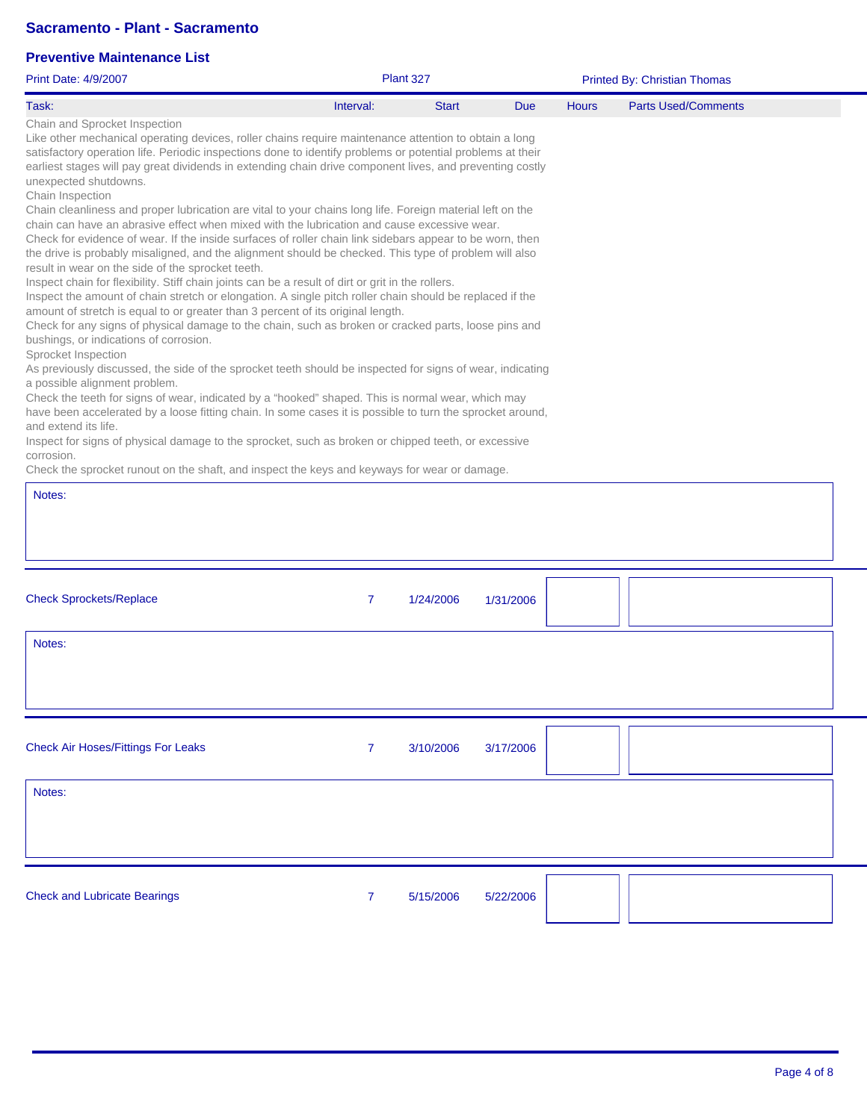| <b>Print Date: 4/9/2007</b>                                                                                                                                                                                                                                                                                                                                                                                                                                                                                                                                                                                                                                                                                                                                                                                                                                                                                                                                                                                                                                                                                                                                                                                                                                                                                                                                                                                                                                                                                                                                                                                                                                                                                                                                                                                                                                                                                                                                                                   |                | Plant 327    |            | Printed By: Christian Thomas |                            |  |  |
|-----------------------------------------------------------------------------------------------------------------------------------------------------------------------------------------------------------------------------------------------------------------------------------------------------------------------------------------------------------------------------------------------------------------------------------------------------------------------------------------------------------------------------------------------------------------------------------------------------------------------------------------------------------------------------------------------------------------------------------------------------------------------------------------------------------------------------------------------------------------------------------------------------------------------------------------------------------------------------------------------------------------------------------------------------------------------------------------------------------------------------------------------------------------------------------------------------------------------------------------------------------------------------------------------------------------------------------------------------------------------------------------------------------------------------------------------------------------------------------------------------------------------------------------------------------------------------------------------------------------------------------------------------------------------------------------------------------------------------------------------------------------------------------------------------------------------------------------------------------------------------------------------------------------------------------------------------------------------------------------------|----------------|--------------|------------|------------------------------|----------------------------|--|--|
| Task:                                                                                                                                                                                                                                                                                                                                                                                                                                                                                                                                                                                                                                                                                                                                                                                                                                                                                                                                                                                                                                                                                                                                                                                                                                                                                                                                                                                                                                                                                                                                                                                                                                                                                                                                                                                                                                                                                                                                                                                         | Interval:      | <b>Start</b> | <b>Due</b> | <b>Hours</b>                 | <b>Parts Used/Comments</b> |  |  |
| Chain and Sprocket Inspection<br>Like other mechanical operating devices, roller chains require maintenance attention to obtain a long<br>satisfactory operation life. Periodic inspections done to identify problems or potential problems at their<br>earliest stages will pay great dividends in extending chain drive component lives, and preventing costly<br>unexpected shutdowns.<br>Chain Inspection<br>Chain cleanliness and proper lubrication are vital to your chains long life. Foreign material left on the<br>chain can have an abrasive effect when mixed with the lubrication and cause excessive wear.<br>Check for evidence of wear. If the inside surfaces of roller chain link sidebars appear to be worn, then<br>the drive is probably misaligned, and the alignment should be checked. This type of problem will also<br>result in wear on the side of the sprocket teeth.<br>Inspect chain for flexibility. Stiff chain joints can be a result of dirt or grit in the rollers.<br>Inspect the amount of chain stretch or elongation. A single pitch roller chain should be replaced if the<br>amount of stretch is equal to or greater than 3 percent of its original length.<br>Check for any signs of physical damage to the chain, such as broken or cracked parts, loose pins and<br>bushings, or indications of corrosion.<br>Sprocket Inspection<br>As previously discussed, the side of the sprocket teeth should be inspected for signs of wear, indicating<br>a possible alignment problem.<br>Check the teeth for signs of wear, indicated by a "hooked" shaped. This is normal wear, which may<br>have been accelerated by a loose fitting chain. In some cases it is possible to turn the sprocket around,<br>and extend its life.<br>Inspect for signs of physical damage to the sprocket, such as broken or chipped teeth, or excessive<br>corrosion.<br>Check the sprocket runout on the shaft, and inspect the keys and keyways for wear or damage. |                |              |            |                              |                            |  |  |
| Notes:                                                                                                                                                                                                                                                                                                                                                                                                                                                                                                                                                                                                                                                                                                                                                                                                                                                                                                                                                                                                                                                                                                                                                                                                                                                                                                                                                                                                                                                                                                                                                                                                                                                                                                                                                                                                                                                                                                                                                                                        |                |              |            |                              |                            |  |  |
|                                                                                                                                                                                                                                                                                                                                                                                                                                                                                                                                                                                                                                                                                                                                                                                                                                                                                                                                                                                                                                                                                                                                                                                                                                                                                                                                                                                                                                                                                                                                                                                                                                                                                                                                                                                                                                                                                                                                                                                               |                |              |            |                              |                            |  |  |
| <b>Check Sprockets/Replace</b>                                                                                                                                                                                                                                                                                                                                                                                                                                                                                                                                                                                                                                                                                                                                                                                                                                                                                                                                                                                                                                                                                                                                                                                                                                                                                                                                                                                                                                                                                                                                                                                                                                                                                                                                                                                                                                                                                                                                                                | $\overline{7}$ | 1/24/2006    | 1/31/2006  |                              |                            |  |  |
| Notes:                                                                                                                                                                                                                                                                                                                                                                                                                                                                                                                                                                                                                                                                                                                                                                                                                                                                                                                                                                                                                                                                                                                                                                                                                                                                                                                                                                                                                                                                                                                                                                                                                                                                                                                                                                                                                                                                                                                                                                                        |                |              |            |                              |                            |  |  |
| <b>Check Air Hoses/Fittings For Leaks</b>                                                                                                                                                                                                                                                                                                                                                                                                                                                                                                                                                                                                                                                                                                                                                                                                                                                                                                                                                                                                                                                                                                                                                                                                                                                                                                                                                                                                                                                                                                                                                                                                                                                                                                                                                                                                                                                                                                                                                     | $\overline{7}$ | 3/10/2006    | 3/17/2006  |                              |                            |  |  |
| Notes:                                                                                                                                                                                                                                                                                                                                                                                                                                                                                                                                                                                                                                                                                                                                                                                                                                                                                                                                                                                                                                                                                                                                                                                                                                                                                                                                                                                                                                                                                                                                                                                                                                                                                                                                                                                                                                                                                                                                                                                        |                |              |            |                              |                            |  |  |
| <b>Check and Lubricate Bearings</b>                                                                                                                                                                                                                                                                                                                                                                                                                                                                                                                                                                                                                                                                                                                                                                                                                                                                                                                                                                                                                                                                                                                                                                                                                                                                                                                                                                                                                                                                                                                                                                                                                                                                                                                                                                                                                                                                                                                                                           | $\overline{7}$ | 5/15/2006    | 5/22/2006  |                              |                            |  |  |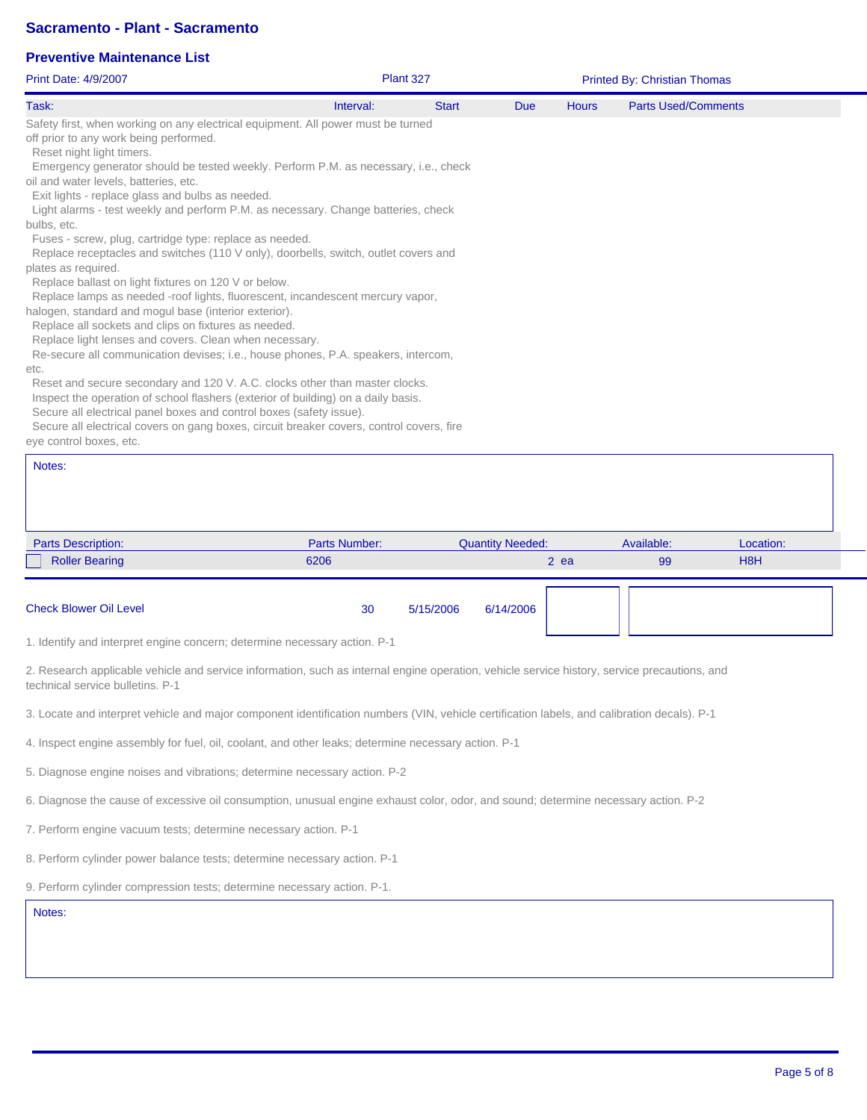#### **Preventive Maintenance List**

| <b>Print Date: 4/9/2007</b>                                                                                                            |           | <b>Plant 327</b> |            |              | <b>Printed By: Christian Thomas</b> |  |
|----------------------------------------------------------------------------------------------------------------------------------------|-----------|------------------|------------|--------------|-------------------------------------|--|
| Task:                                                                                                                                  | Interval: | <b>Start</b>     | <b>Due</b> | <b>Hours</b> | <b>Parts Used/Comments</b>          |  |
| Safety first, when working on any electrical equipment. All power must be turned                                                       |           |                  |            |              |                                     |  |
| off prior to any work being performed.                                                                                                 |           |                  |            |              |                                     |  |
| Reset night light timers.                                                                                                              |           |                  |            |              |                                     |  |
| Emergency generator should be tested weekly. Perform P.M. as necessary, i.e., check                                                    |           |                  |            |              |                                     |  |
| oil and water levels, batteries, etc.                                                                                                  |           |                  |            |              |                                     |  |
| Exit lights - replace glass and bulbs as needed.                                                                                       |           |                  |            |              |                                     |  |
| Light alarms - test weekly and perform P.M. as necessary. Change batteries, check                                                      |           |                  |            |              |                                     |  |
| bulbs, etc.                                                                                                                            |           |                  |            |              |                                     |  |
| Fuses - screw, plug, cartridge type: replace as needed.                                                                                |           |                  |            |              |                                     |  |
| Replace receptacles and switches (110 V only), doorbells, switch, outlet covers and                                                    |           |                  |            |              |                                     |  |
| plates as required.                                                                                                                    |           |                  |            |              |                                     |  |
| Replace ballast on light fixtures on 120 V or below.<br>Replace lamps as needed -roof lights, fluorescent, incandescent mercury vapor, |           |                  |            |              |                                     |  |
| halogen, standard and mogul base (interior exterior).                                                                                  |           |                  |            |              |                                     |  |
| Replace all sockets and clips on fixtures as needed.                                                                                   |           |                  |            |              |                                     |  |
| Replace light lenses and covers. Clean when necessary.                                                                                 |           |                  |            |              |                                     |  |
| Re-secure all communication devises; i.e., house phones, P.A. speakers, intercom,                                                      |           |                  |            |              |                                     |  |
| etc.                                                                                                                                   |           |                  |            |              |                                     |  |
| Reset and secure secondary and 120 V. A.C. clocks other than master clocks.                                                            |           |                  |            |              |                                     |  |
| Inspect the operation of school flashers (exterior of building) on a daily basis.                                                      |           |                  |            |              |                                     |  |
| Secure all electrical panel boxes and control boxes (safety issue).                                                                    |           |                  |            |              |                                     |  |
| Secure all electrical covers on gang boxes, circuit breaker covers, control covers, fire                                               |           |                  |            |              |                                     |  |
| eye control boxes, etc.                                                                                                                |           |                  |            |              |                                     |  |
|                                                                                                                                        |           |                  |            |              |                                     |  |
| Notes:                                                                                                                                 |           |                  |            |              |                                     |  |
|                                                                                                                                        |           |                  |            |              |                                     |  |
|                                                                                                                                        |           |                  |            |              |                                     |  |

| <b>Parts Description:</b> | Parts Number: | <b>Quantity Needed:</b> | Available: | Location:        |  |
|---------------------------|---------------|-------------------------|------------|------------------|--|
| <b>Roller Bearing</b>     | 6206          | $2$ ea                  | 99         | H <sub>8</sub> H |  |
|                           |               |                         |            |                  |  |
|                           |               |                         |            |                  |  |

Check Blower Oil Level 30 5/15/2006 6/14/2006

1. Identify and interpret engine concern; determine necessary action. P-1

2. Research applicable vehicle and service information, such as internal engine operation, vehicle service history, service precautions, and technical service bulletins. P-1

3. Locate and interpret vehicle and major component identification numbers (VIN, vehicle certification labels, and calibration decals). P-1

4. Inspect engine assembly for fuel, oil, coolant, and other leaks; determine necessary action. P-1

5. Diagnose engine noises and vibrations; determine necessary action. P-2

6. Diagnose the cause of excessive oil consumption, unusual engine exhaust color, odor, and sound; determine necessary action. P-2

7. Perform engine vacuum tests; determine necessary action. P-1

8. Perform cylinder power balance tests; determine necessary action. P-1

9. Perform cylinder compression tests; determine necessary action. P-1.

Notes: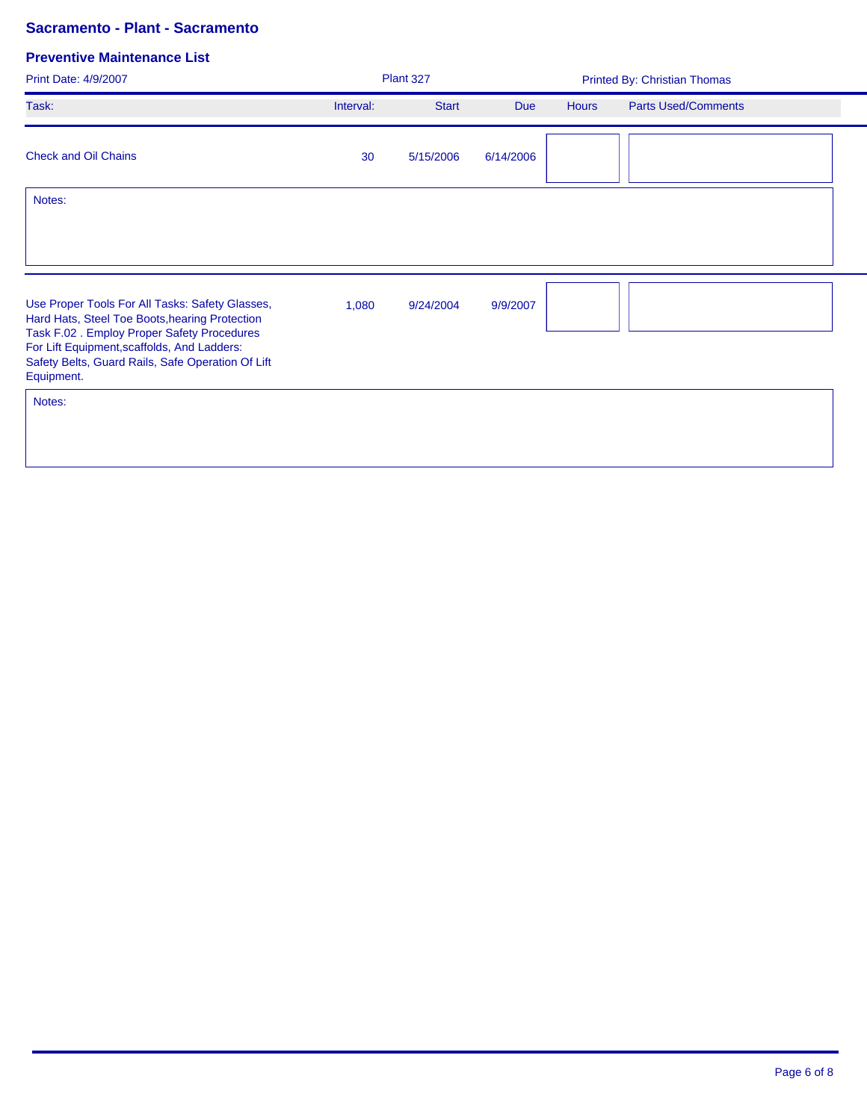| Print Date: 4/9/2007                                                                                                                                                                                                                                              |           | Plant 327<br>Printed By: Christian Thomas |            |              |                            |  |
|-------------------------------------------------------------------------------------------------------------------------------------------------------------------------------------------------------------------------------------------------------------------|-----------|-------------------------------------------|------------|--------------|----------------------------|--|
| Task:                                                                                                                                                                                                                                                             | Interval: | <b>Start</b>                              | <b>Due</b> | <b>Hours</b> | <b>Parts Used/Comments</b> |  |
| <b>Check and Oil Chains</b>                                                                                                                                                                                                                                       | 30        | 5/15/2006                                 | 6/14/2006  |              |                            |  |
| Notes:                                                                                                                                                                                                                                                            |           |                                           |            |              |                            |  |
|                                                                                                                                                                                                                                                                   |           |                                           |            |              |                            |  |
| Use Proper Tools For All Tasks: Safety Glasses,<br>Hard Hats, Steel Toe Boots, hearing Protection<br>Task F.02. Employ Proper Safety Procedures<br>For Lift Equipment, scaffolds, And Ladders:<br>Safety Belts, Guard Rails, Safe Operation Of Lift<br>Equipment. | 1,080     | 9/24/2004                                 | 9/9/2007   |              |                            |  |
| Notes:                                                                                                                                                                                                                                                            |           |                                           |            |              |                            |  |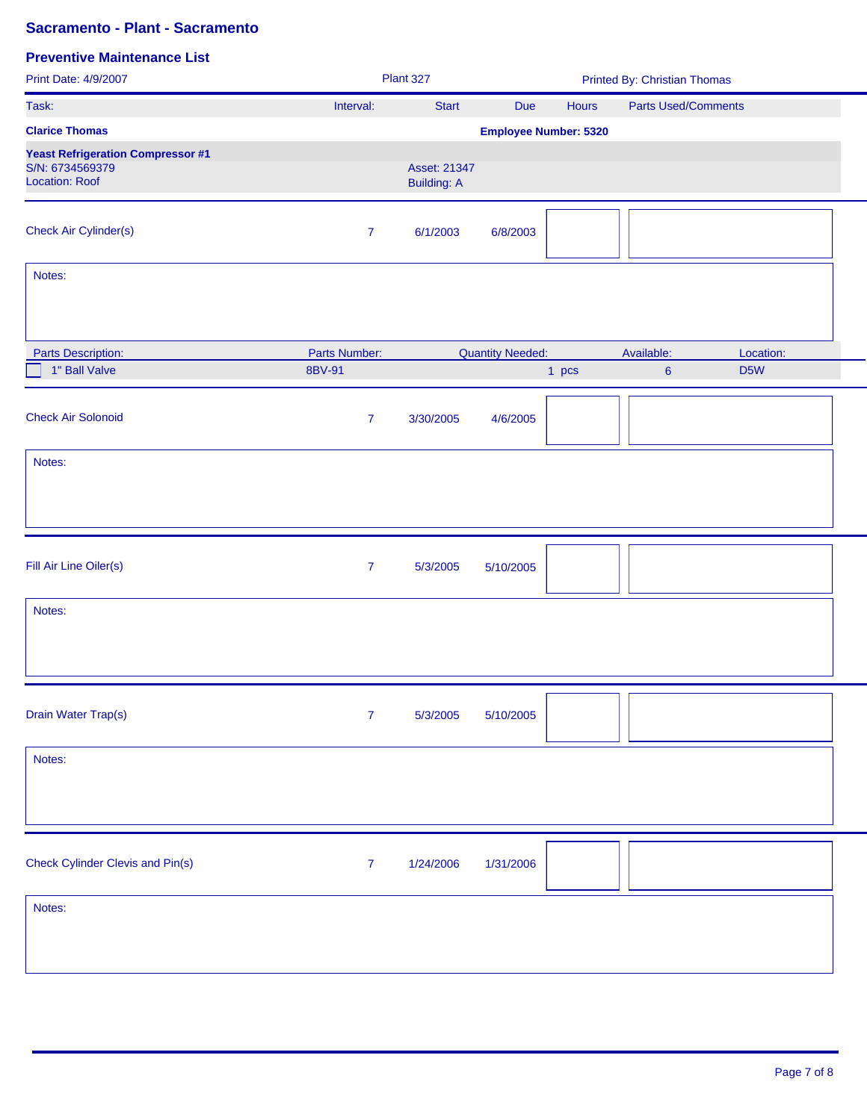| Print Date: 4/9/2007                                                                 |                  | Plant 327                          |                              |       | <b>Printed By: Christian Thomas</b> | <b>Parts Used/Comments</b><br>Location:<br>D <sub>5</sub> W<br>$6\phantom{a}$ |  |
|--------------------------------------------------------------------------------------|------------------|------------------------------------|------------------------------|-------|-------------------------------------|-------------------------------------------------------------------------------|--|
| Task:                                                                                | Interval:        | <b>Start</b>                       | Due                          | Hours |                                     |                                                                               |  |
| <b>Clarice Thomas</b>                                                                |                  |                                    | <b>Employee Number: 5320</b> |       |                                     |                                                                               |  |
| <b>Yeast Refrigeration Compressor #1</b><br>S/N: 6734569379<br><b>Location: Roof</b> |                  | Asset: 21347<br><b>Building: A</b> |                              |       |                                     |                                                                               |  |
| <b>Check Air Cylinder(s)</b>                                                         | $\overline{7}$   | 6/1/2003                           | 6/8/2003                     |       |                                     |                                                                               |  |
| Notes:                                                                               |                  |                                    |                              |       |                                     |                                                                               |  |
| <b>Parts Description:</b>                                                            | Parts Number:    |                                    | <b>Quantity Needed:</b>      |       | Available:                          |                                                                               |  |
| 1" Ball Valve                                                                        | 8BV-91           |                                    |                              | 1 pcs |                                     |                                                                               |  |
| <b>Check Air Solonoid</b>                                                            | $\overline{7}$   | 3/30/2005                          | 4/6/2005                     |       |                                     |                                                                               |  |
| Notes:                                                                               |                  |                                    |                              |       |                                     |                                                                               |  |
|                                                                                      |                  |                                    |                              |       |                                     |                                                                               |  |
| Fill Air Line Oiler(s)                                                               | $\boldsymbol{7}$ | 5/3/2005                           | 5/10/2005                    |       |                                     |                                                                               |  |
| Notes:                                                                               |                  |                                    |                              |       |                                     |                                                                               |  |
|                                                                                      |                  |                                    |                              |       |                                     |                                                                               |  |
| Drain Water Trap(s)                                                                  | $\boldsymbol{7}$ | 5/3/2005                           | 5/10/2005                    |       |                                     |                                                                               |  |
| Notes:                                                                               |                  |                                    |                              |       |                                     |                                                                               |  |
|                                                                                      |                  |                                    |                              |       |                                     |                                                                               |  |
| <b>Check Cylinder Clevis and Pin(s)</b>                                              | $\boldsymbol{7}$ | 1/24/2006                          | 1/31/2006                    |       |                                     |                                                                               |  |
| Notes:                                                                               |                  |                                    |                              |       |                                     |                                                                               |  |
|                                                                                      |                  |                                    |                              |       |                                     |                                                                               |  |
|                                                                                      |                  |                                    |                              |       |                                     |                                                                               |  |